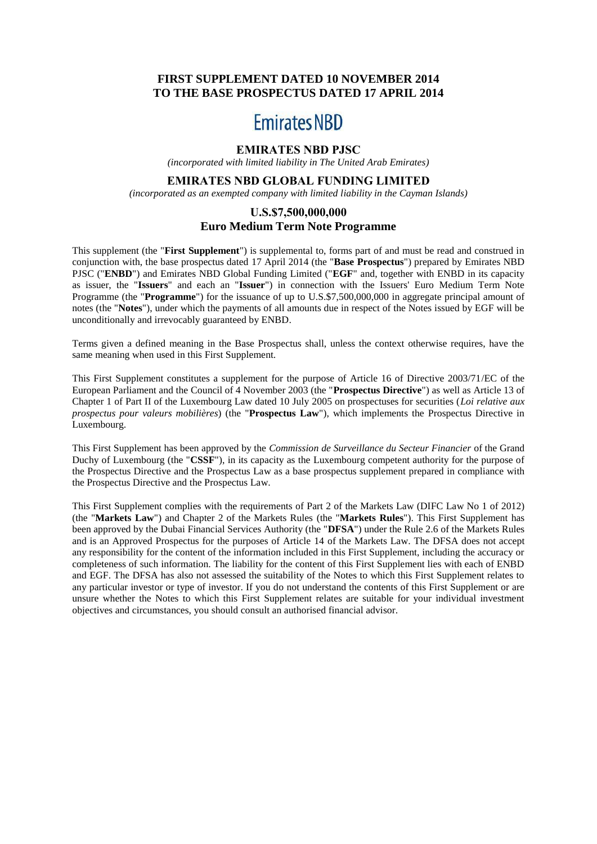# **FIRST SUPPLEMENT DATED 10 NOVEMBER 2014 TO THE BASE PROSPECTUS DATED 17 APRIL 2014**

# **Emirates NBD**

# **EMIRATES NBD PJSC**

*(incorporated with limited liability in The United Arab Emirates)*

# **EMIRATES NBD GLOBAL FUNDING LIMITED**

*(incorporated as an exempted company with limited liability in the Cayman Islands)*

## **U.S.\$7,500,000,000 Euro Medium Term Note Programme**

This supplement (the "**First Supplement**") is supplemental to, forms part of and must be read and construed in conjunction with, the base prospectus dated 17 April 2014 (the "**Base Prospectus**") prepared by Emirates NBD PJSC ("**ENBD**") and Emirates NBD Global Funding Limited ("**EGF**" and, together with ENBD in its capacity as issuer, the "**Issuers**" and each an "**Issuer**") in connection with the Issuers' Euro Medium Term Note Programme (the "**Programme**") for the issuance of up to U.S.\$7,500,000,000 in aggregate principal amount of notes (the "**Notes**"), under which the payments of all amounts due in respect of the Notes issued by EGF will be unconditionally and irrevocably guaranteed by ENBD.

Terms given a defined meaning in the Base Prospectus shall, unless the context otherwise requires, have the same meaning when used in this First Supplement.

This First Supplement constitutes a supplement for the purpose of Article 16 of Directive 2003/71/EC of the European Parliament and the Council of 4 November 2003 (the "**Prospectus Directive**") as well as Article 13 of Chapter 1 of Part II of the Luxembourg Law dated 10 July 2005 on prospectuses for securities (*Loi relative aux prospectus pour valeurs mobilières*) (the "**Prospectus Law**"), which implements the Prospectus Directive in Luxembourg.

This First Supplement has been approved by the *Commission de Surveillance du Secteur Financier* of the Grand Duchy of Luxembourg (the "**CSSF**"), in its capacity as the Luxembourg competent authority for the purpose of the Prospectus Directive and the Prospectus Law as a base prospectus supplement prepared in compliance with the Prospectus Directive and the Prospectus Law.

This First Supplement complies with the requirements of Part 2 of the Markets Law (DIFC Law No 1 of 2012) (the "**Markets Law**") and Chapter 2 of the Markets Rules (the "**Markets Rules**"). This First Supplement has been approved by the Dubai Financial Services Authority (the "**DFSA**") under the Rule 2.6 of the Markets Rules and is an Approved Prospectus for the purposes of Article 14 of the Markets Law. The DFSA does not accept any responsibility for the content of the information included in this First Supplement, including the accuracy or completeness of such information. The liability for the content of this First Supplement lies with each of ENBD and EGF. The DFSA has also not assessed the suitability of the Notes to which this First Supplement relates to any particular investor or type of investor. If you do not understand the contents of this First Supplement or are unsure whether the Notes to which this First Supplement relates are suitable for your individual investment objectives and circumstances, you should consult an authorised financial advisor.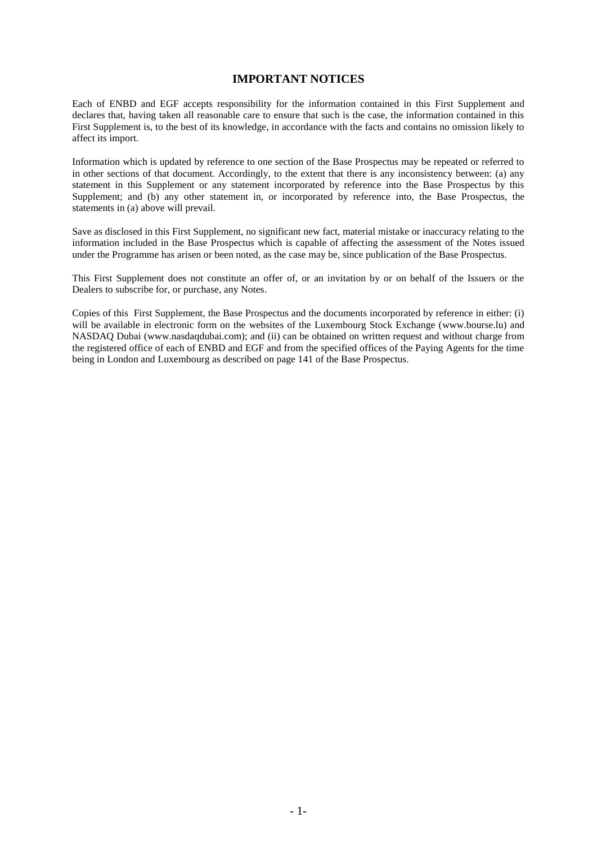### **IMPORTANT NOTICES**

Each of ENBD and EGF accepts responsibility for the information contained in this First Supplement and declares that, having taken all reasonable care to ensure that such is the case, the information contained in this First Supplement is, to the best of its knowledge, in accordance with the facts and contains no omission likely to affect its import.

Information which is updated by reference to one section of the Base Prospectus may be repeated or referred to in other sections of that document. Accordingly, to the extent that there is any inconsistency between: (a) any statement in this Supplement or any statement incorporated by reference into the Base Prospectus by this Supplement; and (b) any other statement in, or incorporated by reference into, the Base Prospectus, the statements in (a) above will prevail.

Save as disclosed in this First Supplement, no significant new fact, material mistake or inaccuracy relating to the information included in the Base Prospectus which is capable of affecting the assessment of the Notes issued under the Programme has arisen or been noted, as the case may be, since publication of the Base Prospectus.

This First Supplement does not constitute an offer of, or an invitation by or on behalf of the Issuers or the Dealers to subscribe for, or purchase, any Notes.

Copies of this First Supplement, the Base Prospectus and the documents incorporated by reference in either: (i) will be available in electronic form on the websites of the Luxembourg Stock Exchange (www.bourse.lu) and NASDAQ Dubai (www.nasdaqdubai.com); and (ii) can be obtained on written request and without charge from the registered office of each of ENBD and EGF and from the specified offices of the Paying Agents for the time being in London and Luxembourg as described on page 141 of the Base Prospectus.